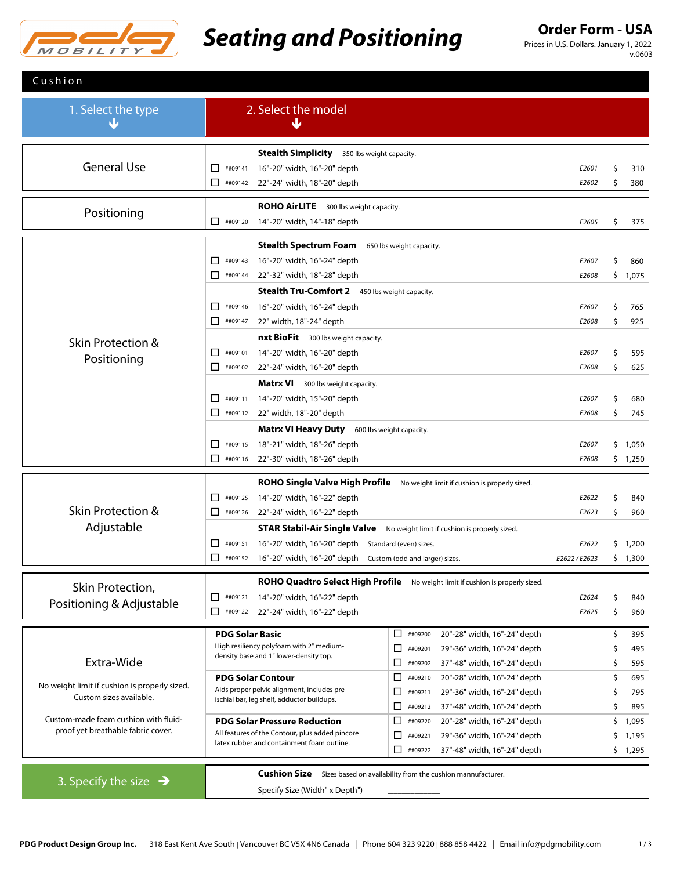

# **Seating and Positioning Order Form - USA**

Prices in U.S. Dollars. January 1, 2022 v.0603

| Cushion                                                                    |                                                                                                                                               |             |     |          |
|----------------------------------------------------------------------------|-----------------------------------------------------------------------------------------------------------------------------------------------|-------------|-----|----------|
| 1. Select the type                                                         | 2. Select the model<br>w                                                                                                                      |             |     |          |
|                                                                            | <b>Stealth Simplicity</b> 350 lbs weight capacity.                                                                                            |             |     |          |
| <b>General Use</b>                                                         | ##09141<br>16"-20" width, 16"-20" depth<br>П                                                                                                  | E2601       | Ś   | 310      |
|                                                                            | $\Box$<br>##09142<br>22"-24" width, 18"-20" depth                                                                                             | E2602       | Ś   | 380      |
|                                                                            | <b>ROHO AirLITE</b> 300 lbs weight capacity.                                                                                                  |             |     |          |
| Positioning                                                                | □<br>##09120<br>14"-20" width, 14"-18" depth                                                                                                  | E2605       | \$  | 375      |
|                                                                            | <b>Stealth Spectrum Foam</b><br>650 lbs weight capacity.                                                                                      |             |     |          |
|                                                                            | □<br>##09143<br>16"-20" width, 16"-24" depth                                                                                                  | E2607       | \$  | 860      |
|                                                                            | $\Box$ ##09144<br>22"-32" width, 18"-28" depth                                                                                                | E2608       |     | \$1,075  |
|                                                                            | Stealth Tru-Comfort 2 450 lbs weight capacity.                                                                                                |             |     |          |
|                                                                            | 16"-20" width, 16"-24" depth<br>□<br>##09146                                                                                                  | E2607       | \$  | 765      |
|                                                                            | 22" width, 18"-24" depth<br>⊔<br>##09147                                                                                                      | E2608       | \$  | 925      |
| Skin Protection &                                                          | <b>nxt BioFit</b> 300 lbs weight capacity.                                                                                                    |             |     |          |
| Positioning                                                                | 14"-20" width, 16"-20" depth<br>##09101<br>$\mathsf{L}$                                                                                       | E2607       | \$  | 595      |
|                                                                            | □<br>22"-24" width, 16"-20" depth<br>##09102                                                                                                  | E2608       | \$  | 625      |
|                                                                            | <b>Matrx VI</b> 300 lbs weight capacity.                                                                                                      |             |     |          |
|                                                                            | ##09111<br>14"-20" width, 15"-20" depth<br>$\perp$                                                                                            | E2607       | \$  | 680      |
|                                                                            | □<br>##09112<br>22" width, 18"-20" depth                                                                                                      | E2608       | \$  | 745      |
|                                                                            | <b>Matrx VI Heavy Duty</b><br>600 lbs weight capacity.                                                                                        |             |     |          |
|                                                                            | ##09115<br>18"-21" width, 18"-26" depth<br>П                                                                                                  | E2607       | \$. | 1,050    |
|                                                                            | □<br>##09116<br>22"-30" width, 18"-26" depth                                                                                                  | E2608       |     | \$1,250  |
|                                                                            | ROHO Single Valve High Profile No weight limit if cushion is properly sized.                                                                  |             |     |          |
|                                                                            | 14"-20" width, 16"-22" depth<br>□<br>##09125                                                                                                  | E2622       | \$  | 840      |
| <b>Skin Protection &amp;</b>                                               | 22"-24" width, 16"-22" depth<br>⊔<br>##09126                                                                                                  | E2623       | \$  | 960      |
| Adjustable                                                                 | <b>STAR Stabil-Air Single Valve</b><br>No weight limit if cushion is properly sized.                                                          |             |     |          |
|                                                                            | 16"-20" width, 16"-20" depth Standard (even) sizes.<br>$\mathsf{L}$<br>##09151                                                                | E2622       |     | \$ 1,200 |
|                                                                            | □<br>##09152<br>16"-20" width, 16"-20" depth Custom (odd and larger) sizes.                                                                   | E2622/E2623 |     | \$1,300  |
| Skin Protection,                                                           | ROHO Quadtro Select High Profile No weight limit if cushion is properly sized.                                                                |             |     |          |
| Positioning & Adjustable                                                   | □<br>##09121<br>14"-20" width, 16"-22" depth                                                                                                  | E2624       | \$  | 840      |
|                                                                            | ##09122 22"-24" width, 16"-22" depth<br>□                                                                                                     | E2625       | \$  | 960      |
|                                                                            | □<br>20"-28" width, 16"-24" depth<br><b>PDG Solar Basic</b><br>##09200                                                                        |             | \$  | 395      |
|                                                                            | High resiliency polyfoam with 2" medium-<br>29"-36" width, 16"-24" depth<br>□<br>##09201                                                      |             | \$  | 495      |
| Extra-Wide                                                                 | density base and 1" lower-density top.<br>□<br>37"-48" width, 16"-24" depth<br>##09202                                                        |             | \$  | 595      |
|                                                                            | <b>PDG Solar Contour</b><br>□<br>20"-28" width, 16"-24" depth<br>##09210                                                                      |             | \$  | 695      |
| No weight limit if cushion is properly sized.<br>Custom sizes available.   | Aids proper pelvic alignment, includes pre-<br>П<br>29"-36" width, 16"-24" depth<br>##09211<br>ischial bar, leg shelf, adductor buildups.     |             | Ś   | 795      |
|                                                                            | □<br>37"-48" width, 16"-24" depth<br>##09212                                                                                                  |             | Ś   | 895      |
| Custom-made foam cushion with fluid-<br>proof yet breathable fabric cover. | 20"-28" width, 16"-24" depth<br><b>PDG Solar Pressure Reduction</b><br>⊔<br>##09220                                                           |             | \$  | 1,095    |
|                                                                            | All features of the Contour, plus added pincore<br>29"-36" width, 16"-24" depth<br>ப<br>##09221<br>latex rubber and containment foam outline. |             | \$  | 1,195    |
|                                                                            | □<br>37"-48" width, 16"-24" depth<br>##09222                                                                                                  |             |     | \$1,295  |
|                                                                            | <b>Cushion Size</b><br>Sizes based on availability from the cushion mannufacturer.                                                            |             |     |          |
| 3. Specify the size $\rightarrow$                                          | Specify Size (Width" x Depth")                                                                                                                |             |     |          |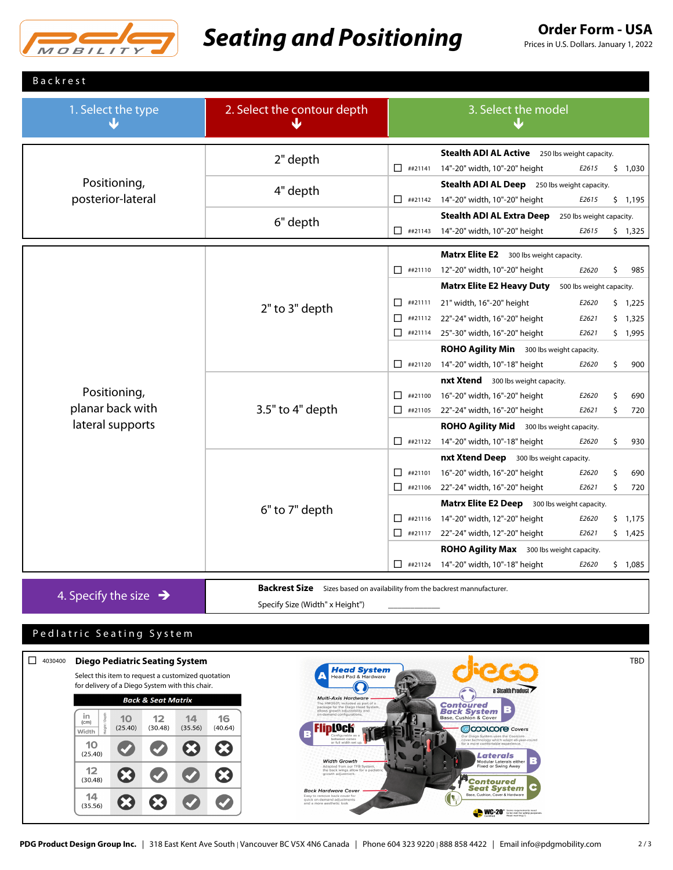

### **Seating and Positioning Order Form - USA**

Prices in U.S. Dollars. January 1, 2022

|  | <b>Backrest</b> |  |  |  |
|--|-----------------|--|--|--|
|  |                 |  |  |  |

| 1. Select the type                                   | 2. Select the contour depth<br>$\overline{\mathbf{v}}$                     | 3. Select the model<br>NZ                                                                                                                                                                                                                            |
|------------------------------------------------------|----------------------------------------------------------------------------|------------------------------------------------------------------------------------------------------------------------------------------------------------------------------------------------------------------------------------------------------|
| Positioning,<br>posterior-lateral                    | 2" depth                                                                   | Stealth ADI AL Active 250 lbs weight capacity.<br>$\Box$ ##21141<br>14"-20" width, 10"-20" height<br>\$1,030<br>E2615                                                                                                                                |
|                                                      | 4" depth                                                                   | Stealth ADI AL Deep 250 lbs weight capacity.<br>##21142 14"-20" width, 10"-20" height<br>\$1,195<br>E2615                                                                                                                                            |
|                                                      | 6" depth                                                                   | <b>Stealth ADI AL Extra Deep</b><br>250 lbs weight capacity.<br>14"-20" width, 10"-20" height<br>$\Box$ ##21143<br>E2615<br>\$1,325                                                                                                                  |
| Positioning,<br>planar back with<br>lateral supports |                                                                            | Matrx Elite E2 300 lbs weight capacity.<br>##21110 12"-20" width, 10"-20" height<br>E2620<br>\$<br>985<br><b>Matrx Elite E2 Heavy Duty</b><br>500 lbs weight capacity.                                                                               |
|                                                      | 2" to 3" depth                                                             | 21" width, 16"-20" height<br>##21111<br>П.<br>E2620<br>\$1,225<br>##21112 22"-24" width, 16"-20" height<br>п<br>E2621<br>\$1,325<br>$\Box$ ##21114<br>25"-30" width, 16"-20" height<br>E2621<br>\$1,995<br>ROHO Agility Min 300 lbs weight capacity. |
|                                                      |                                                                            | $\Box$ ##21120<br>14"-20" width, 10"-18" height<br>\$<br>900<br>E2620<br><b>nxt Xtend</b> 300 lbs weight capacity.<br>$\Box$ ##21100<br>16"-20" width, 16"-20" height<br>E2620<br>\$<br>690                                                          |
|                                                      | 3.5" to 4" depth                                                           | 22"-24" width, 16"-20" height<br>$\Box$ ##21105<br>\$<br>E2621<br>720<br>ROHO Agility Mid 300 lbs weight capacity.<br>##21122 14"-20" width, 10"-18" height<br>\$<br>E2620<br>930                                                                    |
|                                                      |                                                                            | nxt Xtend Deep 300 lbs weight capacity.<br>16"-20" width, 16"-20" height<br>п<br>##21101<br>\$<br>690<br>E2620<br>22"-24" width, 16"-20" height<br>\$<br>$\Box$ ##21106<br>E2621<br>720<br>Matrx Elite E2 Deep 300 lbs weight capacity.              |
|                                                      | 6" to 7" depth                                                             | 14"-20" width, 12"-20" height<br>$\Box$ ##21116<br>\$1,175<br>E2620<br>$\Box$ ##21117<br>22"-24" width, 12"-20" height<br>E2621<br>\$1,425<br><b>ROHO Agility Max</b> 300 lbs weight capacity.                                                       |
| 4. Specify the size $\rightarrow$                    | Backrest Size Sizes based on availability from the backrest mannufacturer. | $\Box$ ##21124<br>14"-20" width, 10"-18" height<br>E2620<br>\$1,085                                                                                                                                                                                  |

Specify Size (Width" x Height") \_\_\_\_\_\_\_\_\_\_\_\_\_

### Ped I a tric Seating System